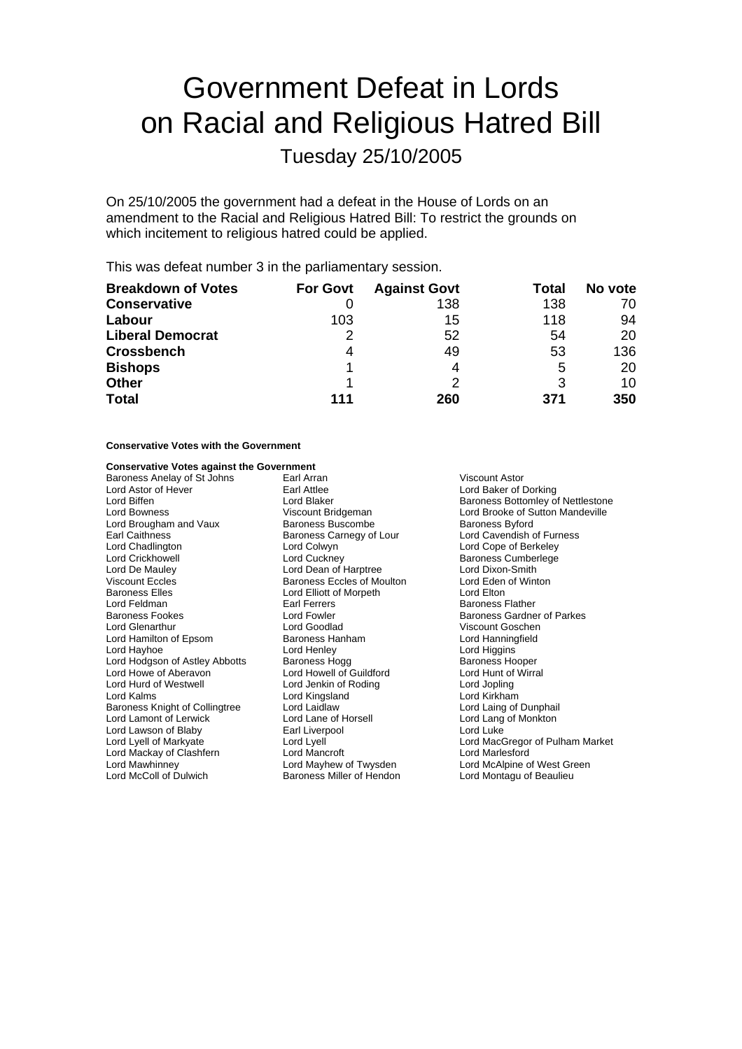# Government Defeat in Lords on Racial and Religious Hatred Bill

Tuesday 25/10/2005

On 25/10/2005 the government had a defeat in the House of Lords on an amendment to the Racial and Religious Hatred Bill: To restrict the grounds on which incitement to religious hatred could be applied.

This was defeat number 3 in the parliamentary session.

| <b>Breakdown of Votes</b> | <b>For Govt</b> | <b>Against Govt</b> | Total | No vote |
|---------------------------|-----------------|---------------------|-------|---------|
| <b>Conservative</b>       |                 | 138                 | 138   | 70      |
| Labour                    | 103             | 15                  | 118   | 94      |
| <b>Liberal Democrat</b>   | 2               | 52                  | 54    | 20      |
| <b>Crossbench</b>         | 4               | 49                  | 53    | 136     |
| <b>Bishops</b>            |                 | 4                   | 5     | 20      |
| <b>Other</b>              |                 |                     | 3     | 10      |
| <b>Total</b>              | 111             | 260                 | 371   | 350     |

### **Conservative Votes with the Government**

#### **Conservative Votes against the Government**

Baroness Anelay of St Johns Farl Arran Farl Arran Niscount Astor<br>
Lord Astor of Hever Farl Attlee Farl Attlee Cord Baker of I Lord Astor of Hever **Earl Attlee** Earl Attlee **Earl Attlee** Lord Baker of Dorking<br>
Lord Baker **Earl Attlee** Lord Blaker **Early Baker** Baroness Bottomley of Lord Biffen **Lord Blaker Baroness Bottomley of Nettlestone**<br>
Lord Bowness **Control Bridgeman**<br>
Lord Brooke of Sutton Mandeville Lord Brougham and Vaux Earl Caithness<br>
Lord Chadlington **Baroness Carnegy of Lour** Lord Cavendish of Furness<br>
Lord Chadlington **Lord Collection**<br>
Lord Cope of Berkeley Lord Crickhowell Lord Cuckney Baroness Cumberlege Lord De Mauley Lord Dean of Harptree Lord Dixon-Smith Baroness Elles **Lord Elliott of Morpeth**<br>
Lord Feldman **Lord Elliott Carl Ferrers** Baroness Fookes **Exercise Search Contract Contract Contract Contract Contract Contract Parkes**<br>
Baroness Gardner of Parkes<br>
Lord Goodlad **Contract Contract Contract Contract Contract Contract Contract Contract Contract Co** Lord Glenarthur Lord Goodlad Viscount Goschen Lord Hamilton of Epsom Baroness Hanning<br>
Lord Havhoe **Baroness** Lord Henlev Lord Hayhoe **Lord Henley** Lord Henley **Lord Higgins**<br>
Lord Hodgson of Astley Abbotts Baroness Hogg **Contains Baroness Hogger** Lord Hodgson of Astley Abbotts Baroness Hogg Baroness Hoger<br>
Lord Howe of Aberavon Lord Howell of Guildford Lord Hunt of Wirral Lord Howe of Aberavon Lord Hurd of Westwell **Lord Jenkin of Roding Lord Lord Jopling** Lord Kalms<br>
Baroness Knight of Collingtree 
Lord Laid Lord Laid aw Lord Laing of Dunphail<br>
Lord Laing of Dunphail Baroness Knight of Collingtree Lord Lamont of Lerwick Lord Lane of Horsell Lord Lang of Monkton<br>
Lord Lawson of Blaby Lord Luke Lord Luke Lord Lawson of Blaby Earl Liverpool Lord Lyell<br>
Lord Lyell of Markyate Lord Lyell Lord Mackay of Clashfern Lord Mancroft Lord Marlesford Lord Mawhinney Lord Mayhew of Twysden Lord McAlpine of West Green

Baroness Eccles of Moulton Lord Eden<br>
Lord Elliott of Morpeth Lord Elton Baroness Miller of Hendon

Lord Bowness Viscount Bridgeman Lord Brooke of Sutton Mandeville Lord Cope of Berkeley Baroness Flather Lord MacGregor of Pulham Market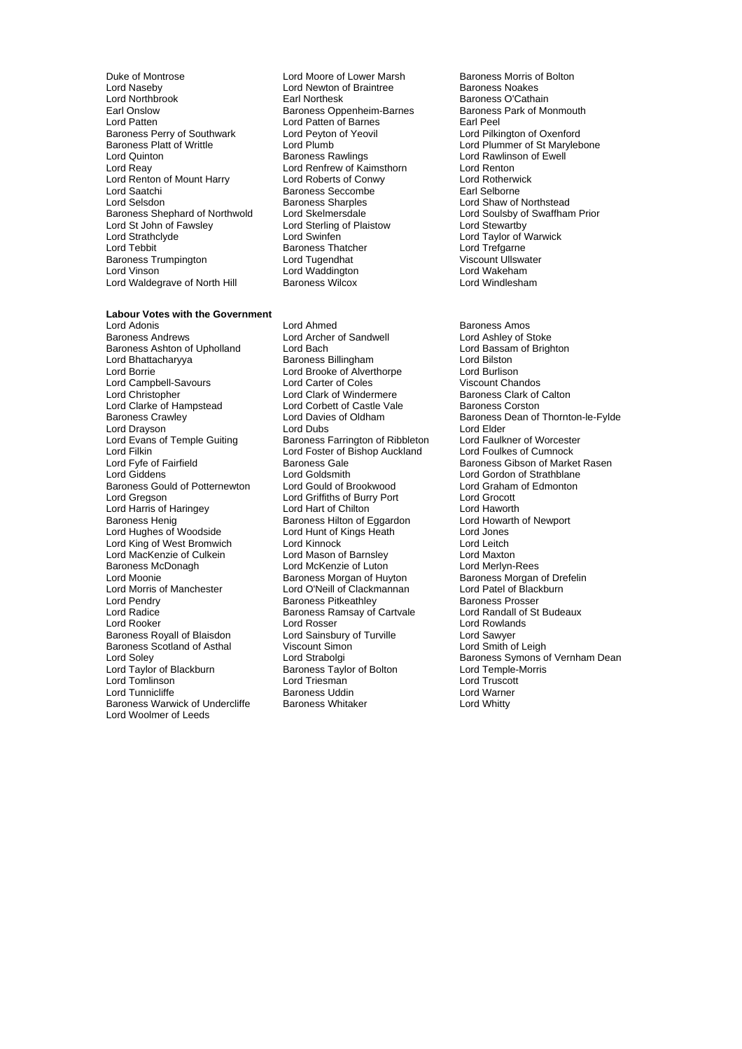Duke of Montrose **Lord Moore of Lower Marsh** Baroness Morris of Bolton<br>
Lord Naseby **Lord Newton of Braintree** Baroness Noakes Lord Naseby **Lord Newton of Braintree Lord Newton of Braintree**<br> **Lord Northbrook Carl Nothesk** Lord Northbrook **Earl Northesk** Baroness O'Cathain<br>Earl Onslow **Baroness Obbenheim-Barnes** Baroness Park of Monmouth Earl Onslow Baroness Oppenheim-Barnes<br>
Lord Patten<br>
Lord Patten Barnes Baroness Perry of Southwark Lord Peyton **Baroness Platt of Writtle** Lord Plumb Baroness Platt of Writtle Lord Plumb Lord Plumb Lord Plumb Lord Plummer of St Marylebone<br>
Lord Quinton Baroness Rawlings Lord Rawlinson of Ewell Lord Quinton **Common Common Baroness Rawlings** Lord Rawlinson of Ewell<br>
Lord Reay **Lord Rentrew** of Kaimsthorn Lord Renton Lord Renton of Mount Harry Lord Roberts of Conwy<br>Lord Saatchi Renton Renton Renton Renton Renton Rent Religions Lord Saatchi **Baroness Seccombe Earl Selborness** Seccombe Earl Selborness Sharples Baroness Shephard of Northwold Lord Skelmersdale<br>Lord St John of Fawsley Lord Sterling of Plaistow Lord St John of Fawsley Lord Sterling<br>
Lord Strathclyde Lord Swinfen Lord Tebbit **Communist Communist Communist Communist Communist Communist Communist Communist Communist Communist Communist Communist Communist Communist Communist Communist Communist Communist Communist Communist Communist** Baroness Trumpington **Lord Tugendhat** Communist Communist Viscount Ullswater<br>Cord Viscount Ullswater Lord Waddington Lord Viscount Lord Wakeham Lord Vinson Lord Waddington Lord Wakeham Lord Waldegrave of North Hill

Lord Patten of Barnes<br>
Lord Peyton of Yeovil **Earl Peel**<br>
Lord Pilkington of Oxenford Lord Renfrew of Kaimsthorn Lord Renton<br>
Lord Roberts of Conwy<br>
Lord Rotherwick

### **Labour Votes with the Government**<br>Lord Adonis

Lord Adonis Lord Ahmed Baroness Amos Baroness Ashton of Upholland Lord Bach Lord Bassam Lord Bassam<br>
Lord Bhattacharyya **Corporation Baroness Billingham** Lord Bilston Lord Bhattacharyya **Channess Billingham Cord Bilston**<br>Lord Borcheston Brook Brooke of Alverthorpe Cord Burlison Lord Campbell-Savours Lord Christopher **Lord Clark of Windermere** Baroness Clark of Calton<br>
Lord Clarke of Hampstead Lord Corbett of Castle Vale Baroness Corston Lord Clarke of Hampstead Lord Corbett of Castle Vale<br>Baroness Crawley Lord Davies of Oldham Lord Drayson **Lord Elder**<br>
Lord Evans of Temple Guiting **Lord Baroness Farrington of Ribbleton** Lord Faulk Lord Evans of Temple Guiting Baroness Farrington of Ribbleton Lord Faulkner of Worcester<br>
Lord Ford Ford Foster of Bishop Auckland Lord Foulkes of Cumnock Lord Filkin **Lord For Auckland Lord Foster of Bishop Auckland**<br>Lord Fyle of Fairfield **Cumnock** Baroness Gale Lord Giddens **Lord Goldsmith** Lord Goldsmith Lord Gordon of Strathblane<br>
Baroness Gould of Potternewton Lord Gould of Brookwood Lord Graham of Edmonton Baroness Gould of Potternewton Lord Gould of Brookwood Lord Graham<br>
Lord Greeson Lord Griffiths of Burry Port Lord Grocott Lord Harris of Haringey Lord Hart of Chilton<br>
Baroness Henig Baroness Hilton of Eggardon Lord Howarth of Newport Baroness Henig Baroness Hilton of Eggardon and Lord Howarth Lord Howarth Cord Howarth Cord Howarth Cord Jones<br>
Lord Hughes of Woodside Cord Howarth Cord Hunt of Kings Heath Cord Jones Lord Hughes of Woodside Lord Hunt of Kings Heath Lord Jones Lord King of West Bromwich Lord Kinnock<br>
Lord MacKenzie of Culkein Lord Mason of Barnslev Lord MacKenzie of Culkein Lord Mason of Barnsley<br>
Lord Maxton Lord McKenzie of Luton Lord Merlyn-Rees Baroness McDonagh **Lord McKenzie of Luton**<br>1991 Lord Moonie **Lord McKenzie of Luton** Lord Moonie <sup>C</sup>ord Baroness Morgan of Huyton Baroness Morgan of Drefelin<br>
Lord Morris of Manchester Lord O'Neill of Clackmannan Lord Patel of Blackburn Lord Pendry **Community Community** Baroness Pitkeathley **Baroness Prosser Baroness Prosser**<br>
Baroness Ramsay of Cartvale **Baroness Propriet Community** Cord Randall of St Budeaux Lord Radice **Baroness Ramsay of Cartvale**<br>Budeaux Budeaux Budeaux Budeaux Budeaux Budeaux Budeaux Budeaux Budeaux Budeaux Budeaux Budeaux Budeaux Budeau<br>Budeaux Budeaux Budeaux Budeaux Budeaux Budeaux Budeaux Budeaux Budea Baroness Royall of Blaisdon Lord Sainsbury of Turville **Lord Sawyer**<br>
Baroness Scotland of Asthal **Communist Construct Say Araby Construct** Lord Smith of Leigh Baroness Scotland of Asthal Lord Tomlinson Lord Triesman Lord Truscott Baroness Warwick of Undercliffe Lord Woolmer of Leeds

Lord Archer of Sandwell Lord Ashley of Stoke<br>
Lord Bach<br>
Lord Bassam of Brighton Lord Brooke of Alverthorpe Lord Burlison<br>
Lord Carter of Coles

Lord Carter of Coles

Lord Chandos Lord Griffiths of Burry Port Lord Grocott<br>
Lord Hart of Chilton Lord Haworth Lord O'Neill of Clackmannan Lord Rosser Lord Rowlands<br>
Lord Sainsbury of Turville Lord Sawyer Baroness Taylor of Bolton **Baroness Uddin Cultus Constitution Baroness Whitaker Constitution Lord Whitty**<br>
Lord Whitty

Baroness Sharples<br>
Lord Skelmersdale<br>
Lord Soulsby of Swaffham Prior Lord Stewartby<br>Lord Taylor of Warwick<br>Lord Trefgarne

Lord Davies of Oldham Baroness Dean of Thornton-le-Fylde<br>
Lord Dubs<br>
Lord Elder Baroness Gibson of Market Rasen Lord Soley **Lord Strabolgi** Cord Strabolgi Baroness Symons of Vernham Dean<br>
Lord Taylor of Blackburn Baroness Taylor of Bolton Lord Temple-Morris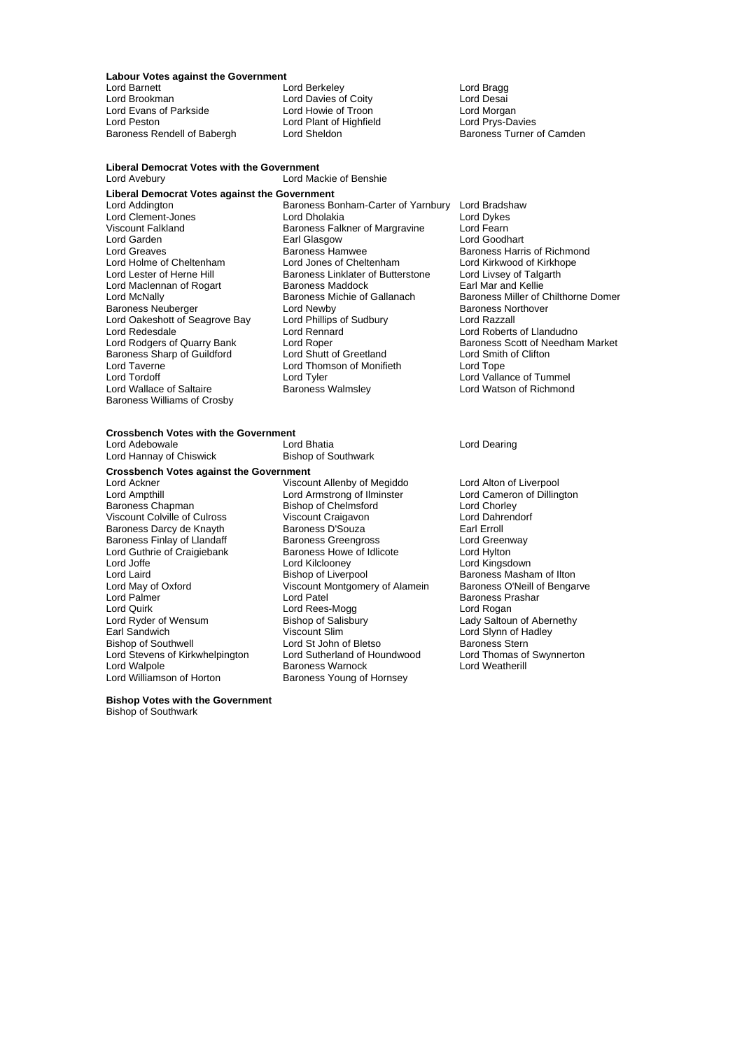## **Labour Votes against the Government**

**Liberal Democrat Votes with the Government**

Lord Barnett **Lord Britain Communist Communist Communist Communist Communist Communist Communist Communist Communist Communist Communist Communist Communist Communist Communist Communist Communist Communist Communist Commu** Lord Evans of Parkside **Lord Howie of Troon** Lord Lord Morgan<br>
Lord Peston **Lord Plant of Highfield** Lord Prys-Davies Lord Peston Lord Plant of Highfield Lord Prys-Davies Baroness Rendell of Babergh

Lord Davies of Coity<br>
Lord Howie of Troon<br>
Lord Morgan Lord Desai

Lord Avebury Lord Mackie of Benshie **Liberal Democrat Votes against the Government** Lord Garden **Earl Glasgow**<br> **Earl Greaves**<br> **Early Baroness Hamwee** Lord Maclennan of Rogart Baroness Maddock<br>
Baroness Michie of Gallanach<br>
Baroness Michie of Gallanach Lord Oakeshott of Seagrove Bay Lord Taverne **Lord Thomson of Monifieth**<br>
Lord Tordoff **Lord Tope Lord Tope Tope Contract Lord Tope Tope Contract Lord Tope Tope Contract Lord Tope Tope** Baroness Williams of Crosby

Lord Addington **Baroness Bonham-Carter of Yarnbury** Lord Bradshaw<br>
Lord Clement-Jones **Barones** Lord Dholakia<br>
Lord Bradshaw Lord Bradshaw Lord Clement-Jones Lord Dholakia Lord Dykes Viscount Falkland Baroness Falkner of Margravine Lord Fearn<br>
Lord Garden Lord Goodhart Earl Glasgow Lord Goodhart Lord Greaves **Baroness Hamwee** Baroness Hamen Baroness Harris of Richmond<br>
Lord Holme of Cheltenham **Barones Exercise** Lord Alexander Baroness Harris of Richmond Lord Holme of Cheltenham Lord Jones of Cheltenham Lord Kirkwood of Kirkho<br>Lord Lester of Herne Hill **Baroness Linklater of Butterstone** Lord Livsev of Talgarth Exaroness Linklater of Butterstone Lord Livsey of Talgaroness Maddock Earl Mar and Kellie Baroness Michie of Gallanach Baroness Miller of Chilthorne Domer<br>
Lord Newby<br>
Baroness Northover Baroness Neuberger Lord Newby Baroness Neuberger Lord Newby<br>Lord Newby Baroness No<br>Lord Oakeshott of Seagrove Bay Lord Phillips of Sudbury Lord Razzall Lord Redesdale Lord Rennard Lord Roberts of Llandudno Lord Roper<br>
Lord Shutt of Greetland<br>
Lord Smith of Clifton<br>
Lord Smith of Clifton Baroness Sharp of Guildford Lord Shutt of Greetland Lord Smith Lord Thomson of Monifieth Lord Tope Lord Tordoff Lord Tyler Lord Tyler Lord Tummel<br>
Lord Wallace of Saltaire Lord Baroness Walmsley Lord Watson of Richmond

Lord Watson of Richmond

# **Crossbench Votes with the Government**

Lord Adebowale Lord Bhatia Lord Dearing Lord Hannay of Chiswick

**Crossbench Votes against the Government** Lord Joffe Lord Kilclooney<br>
Lord Laird Lord Laird Bishop of Liverpool Lord Quirk<br>
Lord Ryder of Wensum<br>
Lord Ryder of Wensum<br>
Bishop of Salisbury Lord Williamson of Horton

Lord Ackner The Coronal China Chinese University of Megiddo<br>
Lord Ampthill Lord Armstrong of Ilminster Lord Cameron of Dillington Lord Ampthill **Lord Armstrong of Ilminster** Lord Cameron Cameron Cord Armstrong of Ilminster Cord Cameron Cord Chorley<br>
Bishop of Chelmsford Chorley Lord Chorley Bishop of Chelmsford<br>
Viscount Craigavon<br>
Lord Dahrendorf Viscount Colville of Culross Viscount Craigavon and Lord Dahrendorf Craigavon<br>
Viscount Colville of Cultum Colville Baroness D'Souza<br>
Larl Erroll Carl Crist Baroness Darcy de Knayth Baroness D'Souza<br>
Baroness Finlay of Llandaff Baroness Greengross Communication Cord Greenway Baroness Finlay of Llandaff Baroness Greengross Creative Cord Greenway of Lord Greenway Cord Greenway Baroness Howe of Idlicote Cord Hylton Lord Guthrie of Craigiebank Baroness Howe of Idlicote Carol Hylton<br>Cord Joffe Craigiebank Lord Kilclooney Lord Hylton Lord Kingsdown Lord Laird Bishop of Liverpool Baroness Masham of Ilton Lord May of Oxford Viscount Montgomery of Alamein<br>
Lord Palmer<br>
Lord Patel Lord Palmer Lord Patel Baroness Prashar Lord Ryder of Wensum Bishop of Salisbury Lady Saltoun of Abernethy<br>
Earl Sandwich Carl Corporation Consumer State Corporation Corporation Corporation Corporation Corporation Cor<br>
Lord Slynn of Hadlev Earl Sandwich **Viscount Slim** The Lord Slynn of Hadley<br>
Eishop of Southwell **Lord St** John of Bletso **Baroness** Stern Lord St John of Bletso<br>
Lord Sutherland of Houndwood<br>
Lord Thomas of Swynnerton Lord Stevens of Kirkwhelpington Lord Sutherland of Houndwood Lord Thomas of Lord Orlandwood Lord Weatherill<br>Lord Walpole Cord Cord Care Baroness Warnock Lord Weatherill Baroness Warnock<br>Baroness Young of Hornsey

**Bishop Votes with the Government**

Bishop of Southwark